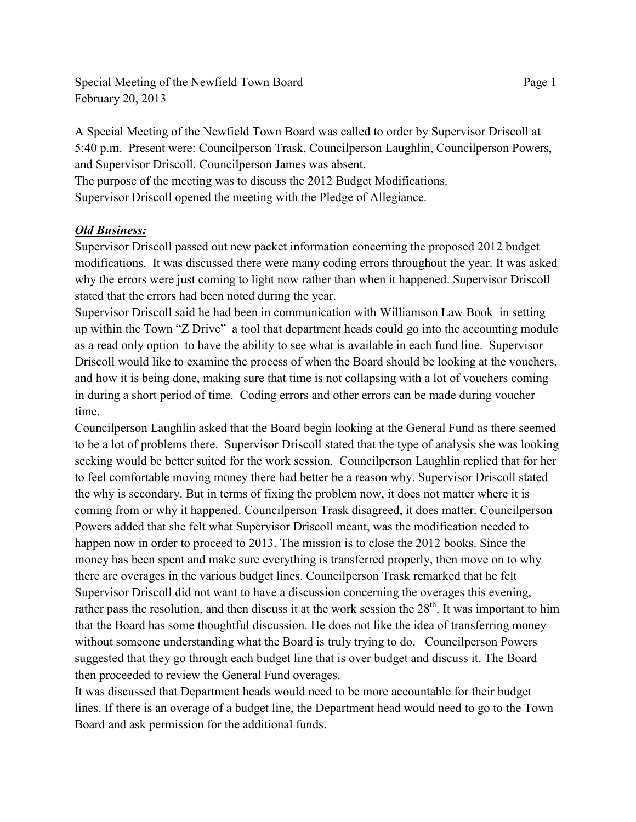Special Meeting of the Newfield Town Board Page 1 February 20, 2013

A Special Meeting of the Newfield Town Board was called to order by Supervisor Driscoll at 5:40 p.m. Present were: Councilperson Trask, Councilperson Laughlin, Councilperson Powers, and Supervisor Driscoll. Councilperson James was absent.

The purpose of the meeting was to discuss the 2012 Budget Modifications. Supervisor Driscoll opened the meeting with the Pledge of Allegiance.

## *Old Business:*

Supervisor Driscoll passed out new packet information concerning the proposed 2012 budget modifications. It was discussed there were many coding errors throughout the year. It was asked why the errors were just coming to light now rather than when it happened. Supervisor Driscoll stated that the errors had been noted during the year.

Supervisor Driscoll said he had been in communication with Williamson Law Book in setting up within the Town "Z Drive" a tool that department heads could go into the accounting module as a read only option to have the ability to see what is available in each fund line. Supervisor Driscoll would like to examine the process of when the Board should be looking at the vouchers, and how it is being done, making sure that time is not collapsing with a lot of vouchers coming in during a short period of time. Coding errors and other errors can be made during voucher time.

Councilperson Laughlin asked that the Board begin looking at the General Fund as there seemed to be a lot of problems there. Supervisor Driscoll stated that the type of analysis she was looking seeking would be better suited for the work session. Councilperson Laughlin replied that for her to feel comfortable moving money there had better be a reason why. Supervisor Driscoll stated the why is secondary. But in terms of fixing the problem now, it does not matter where it is coming from or why it happened. Councilperson Trask disagreed, it does matter. Councilperson Powers added that she felt what Supervisor Driscoll meant, was the modification needed to happen now in order to proceed to 2013. The mission is to close the 2012 books. Since the money has been spent and make sure everything is transferred properly, then move on to why there are overages in the various budget lines. Councilperson Trask remarked that he felt Supervisor Driscoll did not want to have a discussion concerning the overages this evening, rather pass the resolution, and then discuss it at the work session the  $28<sup>th</sup>$ . It was important to him that the Board has some thoughtful discussion. He does not like the idea of transferring money without someone understanding what the Board is truly trying to do. Councilperson Powers suggested that they go through each budget line that is over budget and discuss it. The Board then proceeded to review the General Fund overages.

It was discussed that Department heads would need to be more accountable for their budget lines. If there is an overage of a budget line, the Department head would need to go to the Town Board and ask permission for the additional funds.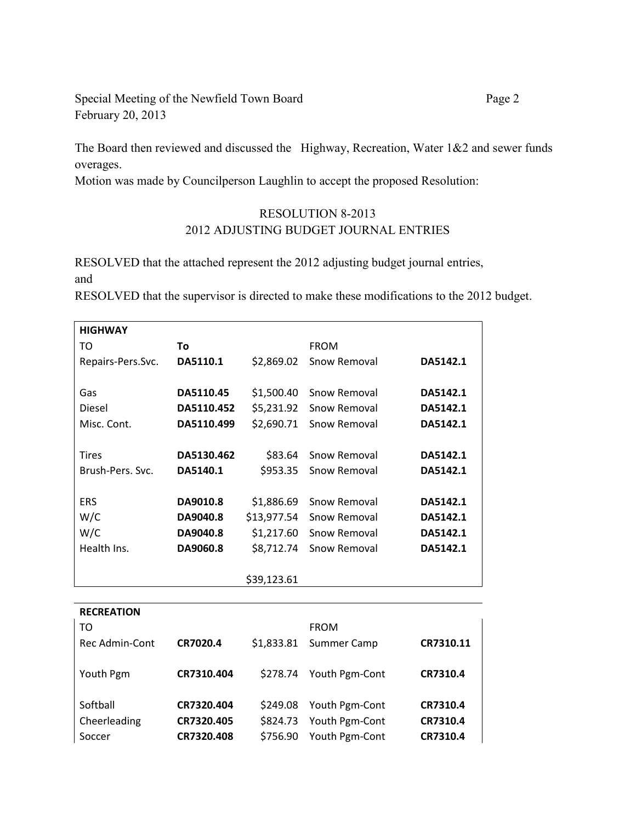Special Meeting of the Newfield Town Board Page 2 February 20, 2013

The Board then reviewed and discussed the Highway, Recreation, Water 1&2 and sewer funds overages.

Motion was made by Councilperson Laughlin to accept the proposed Resolution:

## RESOLUTION 8-2013 2012 ADJUSTING BUDGET JOURNAL ENTRIES

RESOLVED that the attached represent the 2012 adjusting budget journal entries, and

RESOLVED that the supervisor is directed to make these modifications to the 2012 budget.

| <b>HIGHWAY</b>    |            |             |              |          |
|-------------------|------------|-------------|--------------|----------|
| то                | Τo         |             | <b>FROM</b>  |          |
| Repairs-Pers.Svc. | DA5110.1   | \$2,869.02  | Snow Removal | DA5142.1 |
|                   |            |             |              |          |
| Gas               | DA5110.45  | \$1,500.40  | Snow Removal | DA5142.1 |
| <b>Diesel</b>     | DA5110.452 | \$5,231.92  | Snow Removal | DA5142.1 |
| Misc. Cont.       | DA5110.499 | \$2,690.71  | Snow Removal | DA5142.1 |
|                   |            |             |              |          |
| Tires             | DA5130.462 | \$83.64     | Snow Removal | DA5142.1 |
| Brush-Pers, Svc.  | DA5140.1   | \$953.35    | Snow Removal | DA5142.1 |
|                   |            |             |              |          |
| <b>ERS</b>        | DA9010.8   | \$1,886.69  | Snow Removal | DA5142.1 |
| W/C               | DA9040.8   | \$13,977.54 | Snow Removal | DA5142.1 |
| W/C               | DA9040.8   | \$1,217.60  | Snow Removal | DA5142.1 |
| Health Ins.       | DA9060.8   | \$8,712.74  | Snow Removal | DA5142.1 |
|                   |            |             |              |          |
|                   |            | \$39,123.61 |              |          |

| <b>RECREATION</b> |            |            |                |           |
|-------------------|------------|------------|----------------|-----------|
| TO                |            |            | <b>FROM</b>    |           |
| Rec Admin-Cont    | CR7020.4   | \$1,833.81 | Summer Camp    | CR7310.11 |
| Youth Pgm         | CR7310.404 | \$278.74   | Youth Pgm-Cont | CR7310.4  |
| Softball          | CR7320.404 | \$249.08   | Youth Pgm-Cont | CR7310.4  |
| Cheerleading      | CR7320.405 | \$824.73   | Youth Pgm-Cont | CR7310.4  |
| Soccer            | CR7320.408 | \$756.90   | Youth Pgm-Cont | CR7310.4  |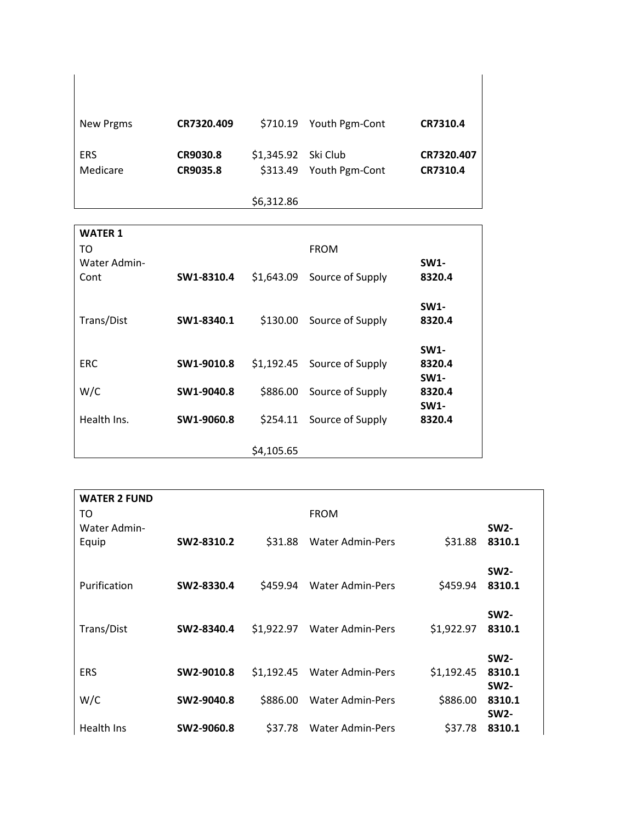| <b>New Prgms</b>       | CR7320.409           |                     | \$710.19 Youth Pgm-Cont | CR7310.4               |
|------------------------|----------------------|---------------------|-------------------------|------------------------|
| <b>ERS</b><br>Medicare | CR9030.8<br>CR9035.8 | \$1,345.92 Ski Club | \$313.49 Youth Pgm-Cont | CR7320.407<br>CR7310.4 |
|                        |                      | \$6,312.86          |                         |                        |

| <b>WATER 1</b> |            |            |                  |             |
|----------------|------------|------------|------------------|-------------|
| то             |            |            | <b>FROM</b>      |             |
| Water Admin-   |            |            |                  | <b>SW1-</b> |
| Cont           | SW1-8310.4 | \$1,643.09 | Source of Supply | 8320.4      |
|                |            |            |                  |             |
|                |            |            |                  | <b>SW1-</b> |
| Trans/Dist     | SW1-8340.1 | \$130.00   | Source of Supply | 8320.4      |
|                |            |            |                  |             |
|                |            |            |                  | <b>SW1-</b> |
| <b>ERC</b>     | SW1-9010.8 | \$1,192.45 | Source of Supply | 8320.4      |
|                |            |            |                  | <b>SW1-</b> |
| W/C            | SW1-9040.8 | \$886.00   | Source of Supply | 8320.4      |
|                |            |            |                  | <b>SW1-</b> |
| Health Ins.    | SW1-9060.8 | \$254.11   | Source of Supply | 8320.4      |
|                |            |            |                  |             |
|                |            | \$4,105.65 |                  |             |

| <b>WATER 2 FUND</b><br>то<br>Water Admin- |            |            | <b>FROM</b>             |            | <b>SW2-</b>                          |  |
|-------------------------------------------|------------|------------|-------------------------|------------|--------------------------------------|--|
| Equip                                     | SW2-8310.2 | \$31.88    | <b>Water Admin-Pers</b> | \$31.88    | 8310.1                               |  |
| Purification                              | SW2-8330.4 | S459.94    | <b>Water Admin-Pers</b> | \$459.94   | <b>SW2-</b><br>8310.1                |  |
| Trans/Dist                                | SW2-8340.4 | \$1,922.97 | <b>Water Admin-Pers</b> | \$1,922.97 | <b>SW2-</b><br>8310.1                |  |
| <b>ERS</b>                                | SW2-9010.8 | \$1.192.45 | <b>Water Admin-Pers</b> | \$1,192.45 | <b>SW2-</b><br>8310.1<br><b>SW2-</b> |  |
| W/C                                       | SW2-9040.8 | \$886.00   | <b>Water Admin-Pers</b> | \$886.00   | 8310.1<br><b>SW2-</b>                |  |
| Health Ins                                | SW2-9060.8 | \$37.78    | <b>Water Admin-Pers</b> | \$37.78    | 8310.1                               |  |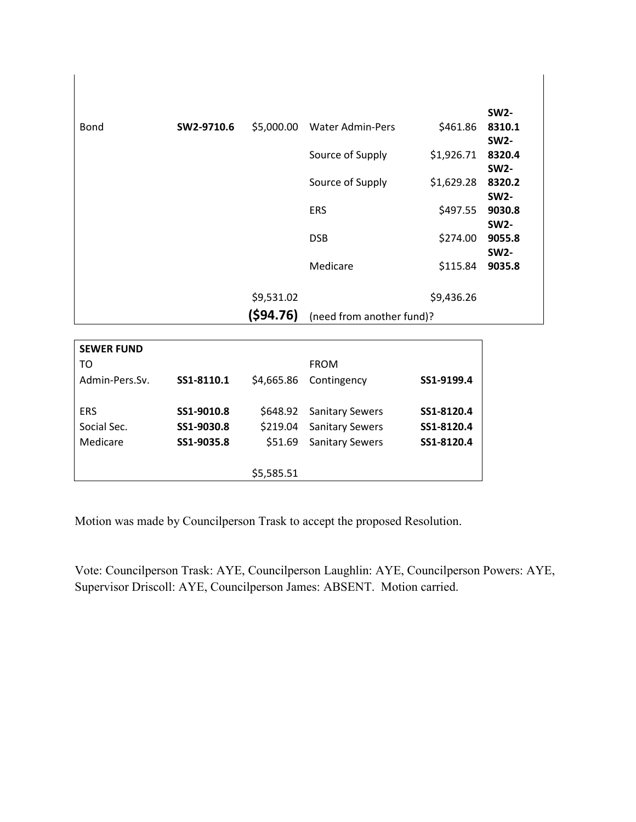|             |            |            |                           |            | <b>SW2-</b> |
|-------------|------------|------------|---------------------------|------------|-------------|
| <b>Bond</b> | SW2-9710.6 | \$5,000.00 | <b>Water Admin-Pers</b>   | \$461.86   | 8310.1      |
|             |            |            |                           |            | <b>SW2-</b> |
|             |            |            | Source of Supply          | \$1,926.71 | 8320.4      |
|             |            |            |                           |            | <b>SW2-</b> |
|             |            |            | Source of Supply          | \$1,629.28 | 8320.2      |
|             |            |            |                           |            | <b>SW2-</b> |
|             |            |            | <b>ERS</b>                | \$497.55   | 9030.8      |
|             |            |            |                           |            | <b>SW2-</b> |
|             |            |            | <b>DSB</b>                | \$274.00   | 9055.8      |
|             |            |            |                           |            | <b>SW2-</b> |
|             |            |            | Medicare                  | \$115.84   | 9035.8      |
|             |            |            |                           |            |             |
|             |            | \$9,531.02 |                           | \$9,436.26 |             |
|             |            | (594.76)   | (need from another fund)? |            |             |

 $\overline{\phantom{a}}$ 

| <b>SEWER FUND</b> |            |            |                        |            |
|-------------------|------------|------------|------------------------|------------|
| TO                |            |            | <b>FROM</b>            |            |
| Admin-Pers.Sv.    | SS1-8110.1 | \$4,665.86 | Contingency            | SS1-9199.4 |
|                   |            |            |                        |            |
| <b>ERS</b>        | SS1-9010.8 | \$648.92   | <b>Sanitary Sewers</b> | SS1-8120.4 |
| Social Sec.       | SS1-9030.8 | \$219.04   | <b>Sanitary Sewers</b> | SS1-8120.4 |
| Medicare          | SS1-9035.8 | \$51.69    | <b>Sanitary Sewers</b> | SS1-8120.4 |
|                   |            |            |                        |            |
|                   |            | \$5,585.51 |                        |            |

Motion was made by Councilperson Trask to accept the proposed Resolution.

Vote: Councilperson Trask: AYE, Councilperson Laughlin: AYE, Councilperson Powers: AYE, Supervisor Driscoll: AYE, Councilperson James: ABSENT. Motion carried.